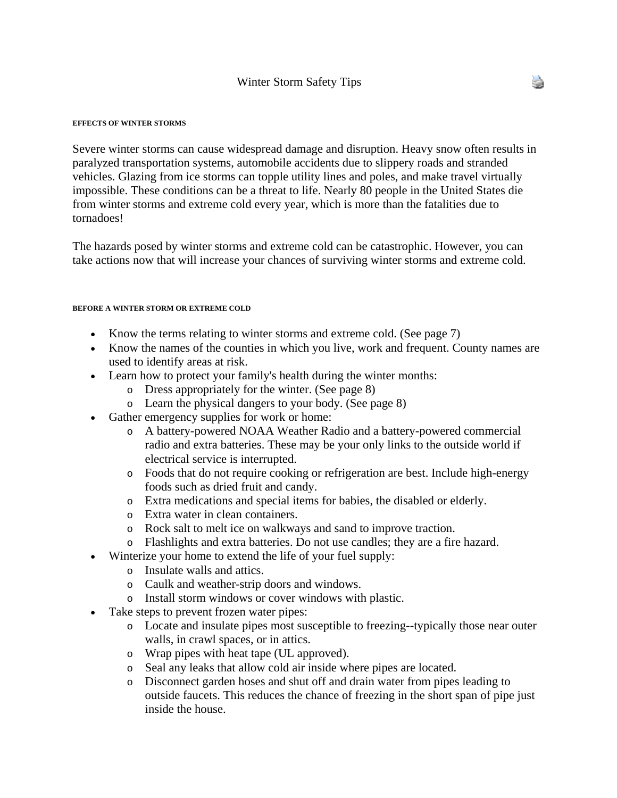#### **EFFECTS OF WINTER STORMS**

Severe winter storms can cause widespread damage and disruption. Heavy snow often results in paralyzed transportation systems, automobile accidents due to slippery roads and stranded vehicles. Glazing from ice storms can topple utility lines and poles, and make travel virtually impossible. These conditions can be a threat to life. Nearly 80 people in the United States die from winter storms and extreme cold every year, which is more than the fatalities due to tornadoes!

The hazards posed by winter storms and extreme cold can be catastrophic. However, you can take actions now that will increase your chances of surviving winter storms and extreme cold.

#### **BEFORE A WINTER STORM OR EXTREME COLD**

- Know the terms relating to winter storms and extreme cold. (See page 7)
- Know the names of the counties in which you live, work and frequent. County names are used to identify areas at risk.
- Learn how to protect your family's health during the winter months:
	- o Dress appropriately for the winter. (See page 8)
	- o Learn the physical dangers to your body. (See page 8)
- Gather emergency supplies for work or home:
	- o A battery-powered NOAA Weather Radio and a battery-powered commercial radio and extra batteries. These may be your only links to the outside world if electrical service is interrupted.
	- o Foods that do not require cooking or refrigeration are best. Include high-energy foods such as dried fruit and candy.
	- o Extra medications and special items for babies, the disabled or elderly.
	- o Extra water in clean containers.
	- o Rock salt to melt ice on walkways and sand to improve traction.
	- o Flashlights and extra batteries. Do not use candles; they are a fire hazard.
- Winterize your home to extend the life of your fuel supply:
	- o Insulate walls and attics.
	- o Caulk and weather-strip doors and windows.
	- o Install storm windows or cover windows with plastic.
- Take steps to prevent frozen water pipes:
	- o Locate and insulate pipes most susceptible to freezing--typically those near outer walls, in crawl spaces, or in attics.
	- o Wrap pipes with heat tape (UL approved).
	- o Seal any leaks that allow cold air inside where pipes are located.
	- o Disconnect garden hoses and shut off and drain water from pipes leading to outside faucets. This reduces the chance of freezing in the short span of pipe just inside the house.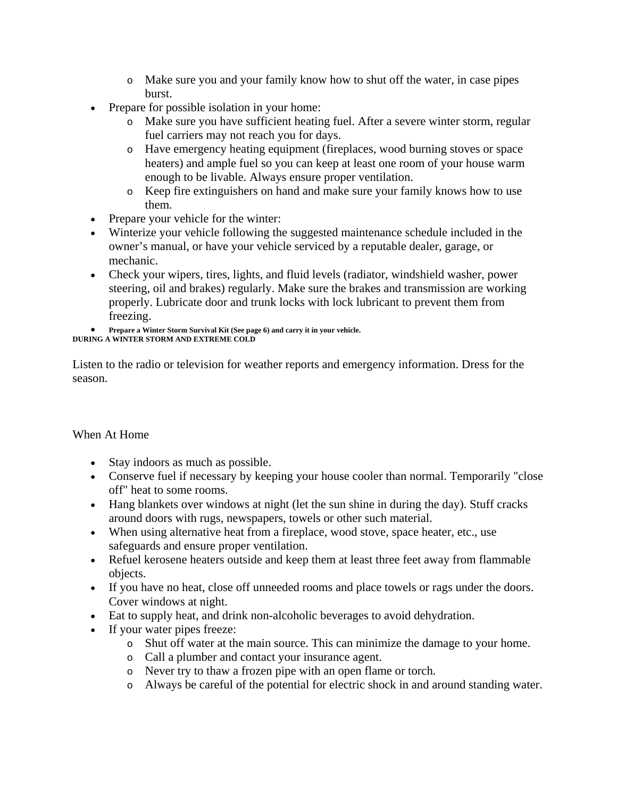- o Make sure you and your family know how to shut off the water, in case pipes burst.
- Prepare for possible isolation in your home:
	- o Make sure you have sufficient heating fuel. After a severe winter storm, regular fuel carriers may not reach you for days.
	- o Have emergency heating equipment (fireplaces, wood burning stoves or space heaters) and ample fuel so you can keep at least one room of your house warm enough to be livable. Always ensure proper ventilation.
	- o Keep fire extinguishers on hand and make sure your family knows how to use them.
- Prepare your vehicle for the winter:
- Winterize your vehicle following the suggested maintenance schedule included in the owner's manual, or have your vehicle serviced by a reputable dealer, garage, or mechanic.
- Check your wipers, tires, lights, and fluid levels (radiator, windshield washer, power steering, oil and brakes) regularly. Make sure the brakes and transmission are working properly. Lubricate door and trunk locks with lock lubricant to prevent them from freezing.

```
• Prepare a Winter Storm Survival Kit (See page 6) and carry it in your vehicle. 
DURING A WINTER STORM AND EXTREME COLD
```
Listen to the radio or television for weather reports and emergency information. Dress for the season.

# When At Home

- Stay indoors as much as possible.
- Conserve fuel if necessary by keeping your house cooler than normal. Temporarily "close off" heat to some rooms.
- Hang blankets over windows at night (let the sun shine in during the day). Stuff cracks around doors with rugs, newspapers, towels or other such material.
- When using alternative heat from a fireplace, wood stove, space heater, etc., use safeguards and ensure proper ventilation.
- Refuel kerosene heaters outside and keep them at least three feet away from flammable objects.
- If you have no heat, close off unneeded rooms and place towels or rags under the doors. Cover windows at night.
- Eat to supply heat, and drink non-alcoholic beverages to avoid dehydration.
- If your water pipes freeze:
	- o Shut off water at the main source. This can minimize the damage to your home.
	- o Call a plumber and contact your insurance agent.
	- o Never try to thaw a frozen pipe with an open flame or torch.
	- o Always be careful of the potential for electric shock in and around standing water.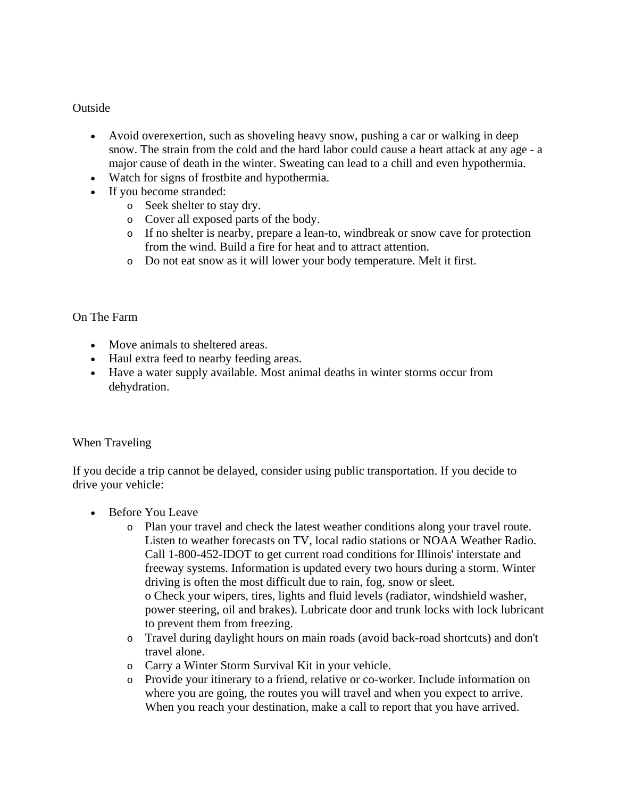## **Outside**

- Avoid overexertion, such as shoveling heavy snow, pushing a car or walking in deep snow. The strain from the cold and the hard labor could cause a heart attack at any age - a major cause of death in the winter. Sweating can lead to a chill and even hypothermia.
- Watch for signs of frostbite and hypothermia.
- If you become stranded:
	- o Seek shelter to stay dry.
	- o Cover all exposed parts of the body.
	- o If no shelter is nearby, prepare a lean-to, windbreak or snow cave for protection from the wind. Build a fire for heat and to attract attention.
	- o Do not eat snow as it will lower your body temperature. Melt it first.

## On The Farm

- Move animals to sheltered areas.
- Haul extra feed to nearby feeding areas.
- Have a water supply available. Most animal deaths in winter storms occur from dehydration.

# When Traveling

If you decide a trip cannot be delayed, consider using public transportation. If you decide to drive your vehicle:

- Before You Leave
	- o Plan your travel and check the latest weather conditions along your travel route. Listen to weather forecasts on TV, local radio stations or NOAA Weather Radio. Call 1-800-452-IDOT to get current road conditions for Illinois' interstate and freeway systems. Information is updated every two hours during a storm. Winter driving is often the most difficult due to rain, fog, snow or sleet. o Check your wipers, tires, lights and fluid levels (radiator, windshield washer, power steering, oil and brakes). Lubricate door and trunk locks with lock lubricant to prevent them from freezing.
	- o Travel during daylight hours on main roads (avoid back-road shortcuts) and don't travel alone.
	- o Carry a Winter Storm Survival Kit in your vehicle.
	- o Provide your itinerary to a friend, relative or co-worker. Include information on where you are going, the routes you will travel and when you expect to arrive. When you reach your destination, make a call to report that you have arrived.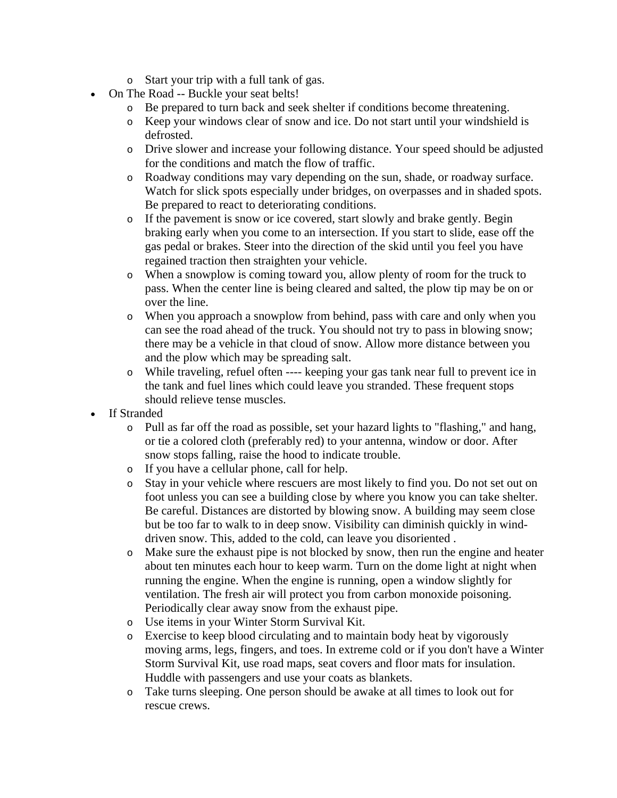- o Start your trip with a full tank of gas.
- On The Road -- Buckle your seat belts!
	- o Be prepared to turn back and seek shelter if conditions become threatening.
	- o Keep your windows clear of snow and ice. Do not start until your windshield is defrosted.
	- o Drive slower and increase your following distance. Your speed should be adjusted for the conditions and match the flow of traffic.
	- o Roadway conditions may vary depending on the sun, shade, or roadway surface. Watch for slick spots especially under bridges, on overpasses and in shaded spots. Be prepared to react to deteriorating conditions.
	- o If the pavement is snow or ice covered, start slowly and brake gently. Begin braking early when you come to an intersection. If you start to slide, ease off the gas pedal or brakes. Steer into the direction of the skid until you feel you have regained traction then straighten your vehicle.
	- o When a snowplow is coming toward you, allow plenty of room for the truck to pass. When the center line is being cleared and salted, the plow tip may be on or over the line.
	- o When you approach a snowplow from behind, pass with care and only when you can see the road ahead of the truck. You should not try to pass in blowing snow; there may be a vehicle in that cloud of snow. Allow more distance between you and the plow which may be spreading salt.
	- o While traveling, refuel often ---- keeping your gas tank near full to prevent ice in the tank and fuel lines which could leave you stranded. These frequent stops should relieve tense muscles.
- If Stranded
	- o Pull as far off the road as possible, set your hazard lights to "flashing," and hang, or tie a colored cloth (preferably red) to your antenna, window or door. After snow stops falling, raise the hood to indicate trouble.
	- o If you have a cellular phone, call for help.
	- o Stay in your vehicle where rescuers are most likely to find you. Do not set out on foot unless you can see a building close by where you know you can take shelter. Be careful. Distances are distorted by blowing snow. A building may seem close but be too far to walk to in deep snow. Visibility can diminish quickly in winddriven snow. This, added to the cold, can leave you disoriented .
	- o Make sure the exhaust pipe is not blocked by snow, then run the engine and heater about ten minutes each hour to keep warm. Turn on the dome light at night when running the engine. When the engine is running, open a window slightly for ventilation. The fresh air will protect you from carbon monoxide poisoning. Periodically clear away snow from the exhaust pipe.
	- o Use items in your Winter Storm Survival Kit.
	- o Exercise to keep blood circulating and to maintain body heat by vigorously moving arms, legs, fingers, and toes. In extreme cold or if you don't have a Winter Storm Survival Kit, use road maps, seat covers and floor mats for insulation. Huddle with passengers and use your coats as blankets.
	- o Take turns sleeping. One person should be awake at all times to look out for rescue crews.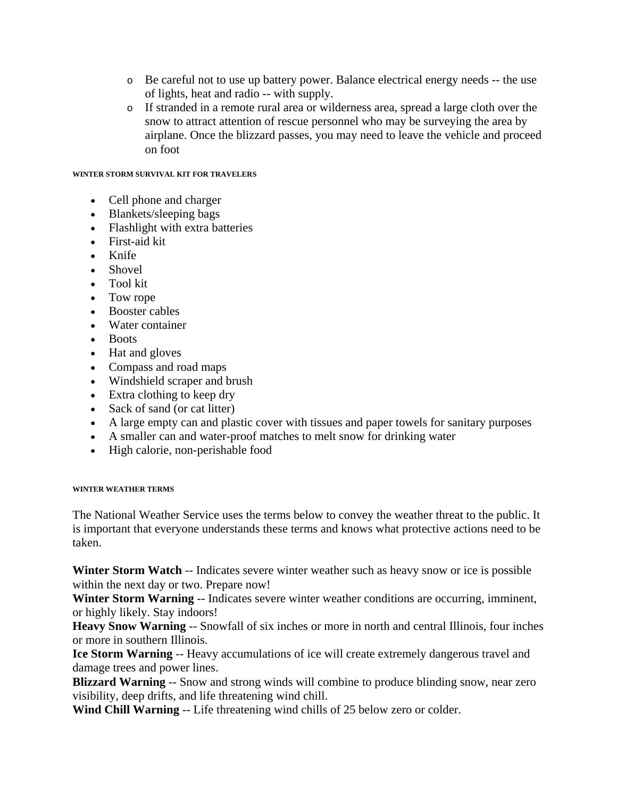- o Be careful not to use up battery power. Balance electrical energy needs -- the use of lights, heat and radio -- with supply.
- o If stranded in a remote rural area or wilderness area, spread a large cloth over the snow to attract attention of rescue personnel who may be surveying the area by airplane. Once the blizzard passes, you may need to leave the vehicle and proceed on foot

#### **WINTER STORM SURVIVAL KIT FOR TRAVELERS**

- Cell phone and charger
- Blankets/sleeping bags
- Flashlight with extra batteries
- First-aid kit
- Knife
- Shovel
- Tool kit
- Tow rope
- Booster cables
- Water container
- Boots
- Hat and gloves
- Compass and road maps
- Windshield scraper and brush
- Extra clothing to keep dry
- Sack of sand (or cat litter)
- A large empty can and plastic cover with tissues and paper towels for sanitary purposes
- A smaller can and water-proof matches to melt snow for drinking water
- High calorie, non-perishable food

## **WINTER WEATHER TERMS**

The National Weather Service uses the terms below to convey the weather threat to the public. It is important that everyone understands these terms and knows what protective actions need to be taken.

**Winter Storm Watch** -- Indicates severe winter weather such as heavy snow or ice is possible within the next day or two. Prepare now!

Winter Storm Warning -- Indicates severe winter weather conditions are occurring, imminent, or highly likely. Stay indoors!

**Heavy Snow Warning** -- Snowfall of six inches or more in north and central Illinois, four inches or more in southern Illinois.

**Ice Storm Warning** -- Heavy accumulations of ice will create extremely dangerous travel and damage trees and power lines.

**Blizzard Warning** -- Snow and strong winds will combine to produce blinding snow, near zero visibility, deep drifts, and life threatening wind chill.

**Wind Chill Warning** -- Life threatening wind chills of 25 below zero or colder.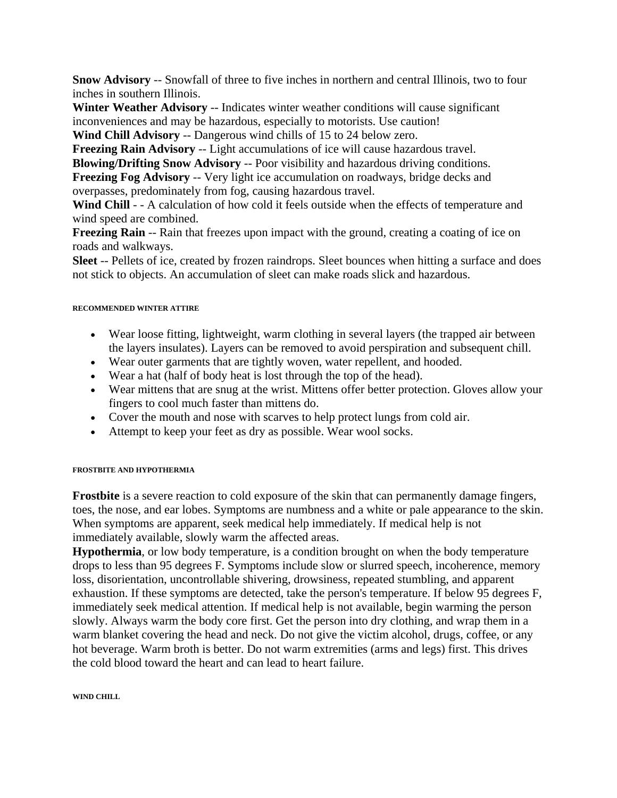**Snow Advisory** -- Snowfall of three to five inches in northern and central Illinois, two to four inches in southern Illinois.

**Winter Weather Advisory** -- Indicates winter weather conditions will cause significant inconveniences and may be hazardous, especially to motorists. Use caution!

**Wind Chill Advisory** -- Dangerous wind chills of 15 to 24 below zero.

**Freezing Rain Advisory** -- Light accumulations of ice will cause hazardous travel.

**Blowing/Drifting Snow Advisory** -- Poor visibility and hazardous driving conditions. **Freezing Fog Advisory** -- Very light ice accumulation on roadways, bridge decks and overpasses, predominately from fog, causing hazardous travel.

**Wind Chill** - - A calculation of how cold it feels outside when the effects of temperature and wind speed are combined.

**Freezing Rain** -- Rain that freezes upon impact with the ground, creating a coating of ice on roads and walkways.

**Sleet** -- Pellets of ice, created by frozen raindrops. Sleet bounces when hitting a surface and does not stick to objects. An accumulation of sleet can make roads slick and hazardous.

### **RECOMMENDED WINTER ATTIRE**

- Wear loose fitting, lightweight, warm clothing in several layers (the trapped air between the layers insulates). Layers can be removed to avoid perspiration and subsequent chill.
- Wear outer garments that are tightly woven, water repellent, and hooded.
- Wear a hat (half of body heat is lost through the top of the head).
- Wear mittens that are snug at the wrist. Mittens offer better protection. Gloves allow your fingers to cool much faster than mittens do.
- Cover the mouth and nose with scarves to help protect lungs from cold air.
- Attempt to keep your feet as dry as possible. Wear wool socks.

## **FROSTBITE AND HYPOTHERMIA**

**Frostbite** is a severe reaction to cold exposure of the skin that can permanently damage fingers, toes, the nose, and ear lobes. Symptoms are numbness and a white or pale appearance to the skin. When symptoms are apparent, seek medical help immediately. If medical help is not immediately available, slowly warm the affected areas.

**Hypothermia**, or low body temperature, is a condition brought on when the body temperature drops to less than 95 degrees F. Symptoms include slow or slurred speech, incoherence, memory loss, disorientation, uncontrollable shivering, drowsiness, repeated stumbling, and apparent exhaustion. If these symptoms are detected, take the person's temperature. If below 95 degrees F, immediately seek medical attention. If medical help is not available, begin warming the person slowly. Always warm the body core first. Get the person into dry clothing, and wrap them in a warm blanket covering the head and neck. Do not give the victim alcohol, drugs, coffee, or any hot beverage. Warm broth is better. Do not warm extremities (arms and legs) first. This drives the cold blood toward the heart and can lead to heart failure.

#### **WIND CHILL**